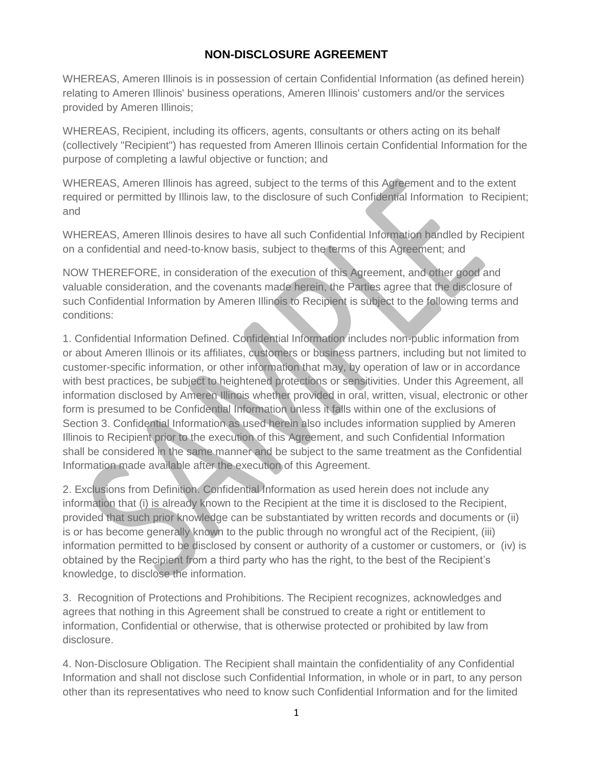## **NON-DISCLOSURE AGREEMENT**

WHEREAS, Ameren Illinois is in possession of certain Confidential Information (as defined herein) relating to Ameren Illinois' business operations, Ameren Illinois' customers and/or the services provided by Ameren Illinois;

WHEREAS, Recipient, including its officers, agents, consultants or others acting on its behalf (collectively "Recipient") has requested from Ameren Illinois certain Confidential Information for the purpose of completing a lawful objective or function; and

WHEREAS, Ameren Illinois has agreed, subject to the terms of this Agreement and to the extent required or permitted by Illinois law, to the disclosure of such Confidential Information to Recipient; and

WHEREAS, Ameren Illinois desires to have all such Confidential Information handled by Recipient on a confidential and need-to-know basis, subject to the terms of this Agreement; and

NOW THEREFORE, in consideration of the execution of this Agreement, and other good and valuable consideration, and the covenants made herein, the Parties agree that the disclosure of such Confidential Information by Ameren Illinois to Recipient is subject to the following terms and conditions:

1. Confidential Information Defined. Confidential Information includes non-public information from or about Ameren Illinois or its affiliates, customers or business partners, including but not limited to customer-specific information, or other information that may, by operation of law or in accordance with best practices, be subject to heightened protections or sensitivities. Under this Agreement, all information disclosed by Ameren Illinois whether provided in oral, written, visual, electronic or other form is presumed to be Confidential Information unless it falls within one of the exclusions of Section 3. Confidential Information as used herein also includes information supplied by Ameren Illinois to Recipient prior to the execution of this Agreement, and such Confidential Information shall be considered in the same manner and be subject to the same treatment as the Confidential Information made available after the execution of this Agreement.

2. Exclusions from Definition. Confidential Information as used herein does not include any information that (i) is already known to the Recipient at the time it is disclosed to the Recipient, provided that such prior knowledge can be substantiated by written records and documents or (ii) is or has become generally known to the public through no wrongful act of the Recipient, (iii) information permitted to be disclosed by consent or authority of a customer or customers, or (iv) is obtained by the Recipient from a third party who has the right, to the best of the Recipient's knowledge, to disclose the information.

3. Recognition of Protections and Prohibitions. The Recipient recognizes, acknowledges and agrees that nothing in this Agreement shall be construed to create a right or entitlement to information, Confidential or otherwise, that is otherwise protected or prohibited by law from disclosure.

4. Non-Disclosure Obligation. The Recipient shall maintain the confidentiality of any Confidential Information and shall not disclose such Confidential Information, in whole or in part, to any person other than its representatives who need to know such Confidential Information and for the limited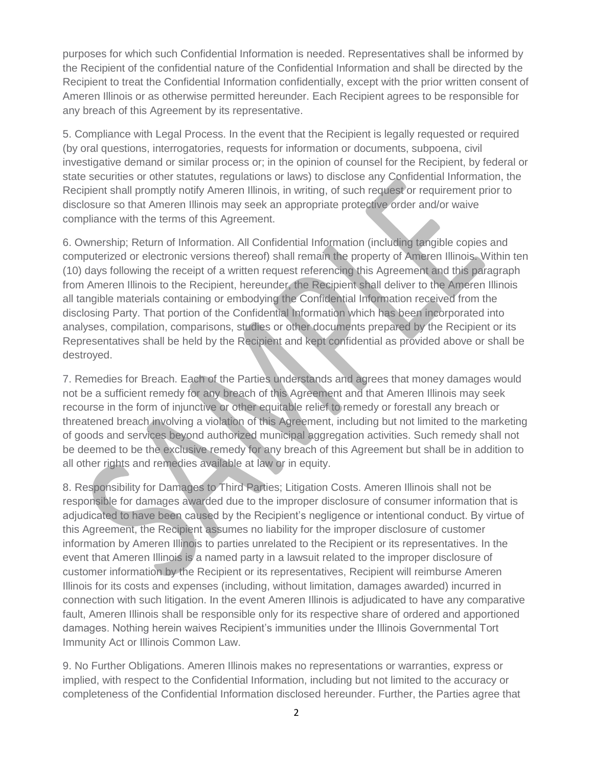purposes for which such Confidential Information is needed. Representatives shall be informed by the Recipient of the confidential nature of the Confidential Information and shall be directed by the Recipient to treat the Confidential Information confidentially, except with the prior written consent of Ameren Illinois or as otherwise permitted hereunder. Each Recipient agrees to be responsible for any breach of this Agreement by its representative.

5. Compliance with Legal Process. In the event that the Recipient is legally requested or required (by oral questions, interrogatories, requests for information or documents, subpoena, civil investigative demand or similar process or; in the opinion of counsel for the Recipient, by federal or state securities or other statutes, regulations or laws) to disclose any Confidential Information, the Recipient shall promptly notify Ameren Illinois, in writing, of such request or requirement prior to disclosure so that Ameren Illinois may seek an appropriate protective order and/or waive compliance with the terms of this Agreement.

6. Ownership; Return of Information. All Confidential Information (including tangible copies and computerized or electronic versions thereof) shall remain the property of Ameren Illinois. Within ten (10) days following the receipt of a written request referencing this Agreement and this paragraph from Ameren Illinois to the Recipient, hereunder, the Recipient shall deliver to the Ameren Illinois all tangible materials containing or embodying the Confidential Information received from the disclosing Party. That portion of the Confidential Information which has been incorporated into analyses, compilation, comparisons, studies or other documents prepared by the Recipient or its Representatives shall be held by the Recipient and kept confidential as provided above or shall be destroyed.

7. Remedies for Breach. Each of the Parties understands and agrees that money damages would not be a sufficient remedy for any breach of this Agreement and that Ameren Illinois may seek recourse in the form of injunctive or other equitable relief to remedy or forestall any breach or threatened breach involving a violation of this Agreement, including but not limited to the marketing of goods and services beyond authorized municipal aggregation activities. Such remedy shall not be deemed to be the exclusive remedy for any breach of this Agreement but shall be in addition to all other rights and remedies available at law or in equity.

8. Responsibility for Damages to Third Parties; Litigation Costs. Ameren Illinois shall not be responsible for damages awarded due to the improper disclosure of consumer information that is adjudicated to have been caused by the Recipient's negligence or intentional conduct. By virtue of this Agreement, the Recipient assumes no liability for the improper disclosure of customer information by Ameren Illinois to parties unrelated to the Recipient or its representatives. In the event that Ameren Illinois is a named party in a lawsuit related to the improper disclosure of customer information by the Recipient or its representatives, Recipient will reimburse Ameren Illinois for its costs and expenses (including, without limitation, damages awarded) incurred in connection with such litigation. In the event Ameren Illinois is adjudicated to have any comparative fault, Ameren Illinois shall be responsible only for its respective share of ordered and apportioned damages. Nothing herein waives Recipient's immunities under the Illinois Governmental Tort Immunity Act or Illinois Common Law.

9. No Further Obligations. Ameren Illinois makes no representations or warranties, express or implied, with respect to the Confidential Information, including but not limited to the accuracy or completeness of the Confidential Information disclosed hereunder. Further, the Parties agree that